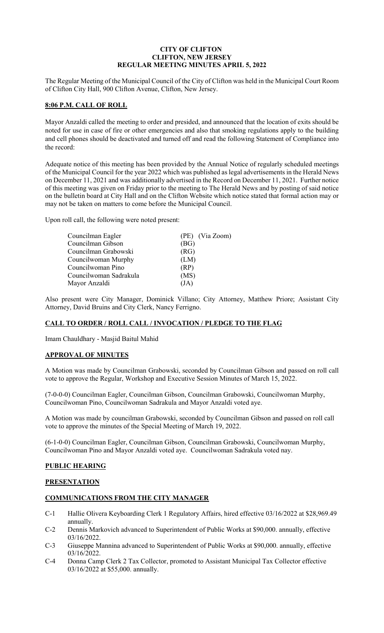### **CITY OF CLIFTON CLIFTON, NEW JERSEY REGULAR MEETING MINUTES APRIL 5, 2022**

The Regular Meeting of the Municipal Council of the City of Clifton was held in the Municipal Court Room of Clifton City Hall, 900 Clifton Avenue, Clifton, New Jersey.

### **8:06 P.M. CALL OF ROLL**

Mayor Anzaldi called the meeting to order and presided, and announced that the location of exits should be noted for use in case of fire or other emergencies and also that smoking regulations apply to the building and cell phones should be deactivated and turned off and read the following Statement of Compliance into the record:

Adequate notice of this meeting has been provided by the Annual Notice of regularly scheduled meetings of the Municipal Council for the year 2022 which was published as legal advertisements in the Herald News on December 11, 2021 and was additionally advertised in the Record on December 11, 2021. Further notice of this meeting was given on Friday prior to the meeting to The Herald News and by posting of said notice on the bulletin board at City Hall and on the Clifton Website which notice stated that formal action may or may not be taken on matters to come before the Municipal Council.

Upon roll call, the following were noted present:

| Councilman Eagler      | (PE) (Via Zoom) |
|------------------------|-----------------|
| Councilman Gibson      | (BG)            |
| Councilman Grabowski   | (RG)            |
| Councilwoman Murphy    | (LM)            |
| Councilwoman Pino      | (RP)            |
| Councilwoman Sadrakula | (MS)            |
| Mayor Anzaldi          | (JA)            |

Also present were City Manager, Dominick Villano; City Attorney, Matthew Priore; Assistant City Attorney, David Bruins and City Clerk, Nancy Ferrigno.

### **CALL TO ORDER / ROLL CALL / INVOCATION / PLEDGE TO THE FLAG**

Imam Chauldhary - Masjid Baitul Mahid

### **APPROVAL OF MINUTES**

A Motion was made by Councilman Grabowski, seconded by Councilman Gibson and passed on roll call vote to approve the Regular, Workshop and Executive Session Minutes of March 15, 2022.

(7-0-0-0) Councilman Eagler, Councilman Gibson, Councilman Grabowski, Councilwoman Murphy, Councilwoman Pino, Councilwoman Sadrakula and Mayor Anzaldi voted aye.

A Motion was made by councilman Grabowski, seconded by Councilman Gibson and passed on roll call vote to approve the minutes of the Special Meeting of March 19, 2022.

(6-1-0-0) Councilman Eagler, Councilman Gibson, Councilman Grabowski, Councilwoman Murphy, Councilwoman Pino and Mayor Anzaldi voted aye. Councilwoman Sadrakula voted nay.

### **PUBLIC HEARING**

### **PRESENTATION**

### **COMMUNICATIONS FROM THE CITY MANAGER**

- C-1 Hallie Olivera Keyboarding Clerk 1 Regulatory Affairs, hired effective 03/16/2022 at \$28,969.49 annually.
- C-2 Dennis Markovich advanced to Superintendent of Public Works at \$90,000. annually, effective 03/16/2022.
- C-3 Giuseppe Mannina advanced to Superintendent of Public Works at \$90,000. annually, effective 03/16/2022.
- C-4 Donna Camp Clerk 2 Tax Collector, promoted to Assistant Municipal Tax Collector effective 03/16/2022 at \$55,000. annually.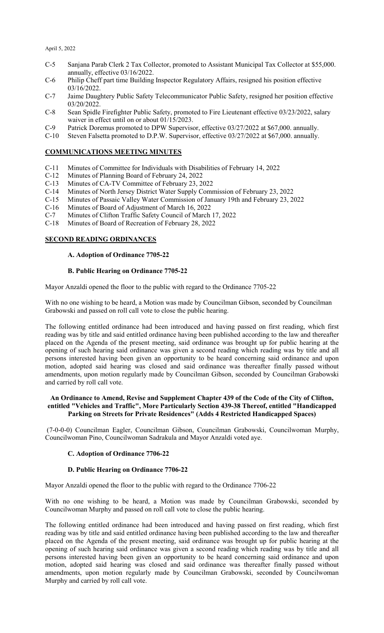- C-5 Sanjana Parab Clerk 2 Tax Collector, promoted to Assistant Municipal Tax Collector at \$55,000. annually, effective 03/16/2022.
- C-6 Philip Cheff part time Building Inspector Regulatory Affairs, resigned his position effective 03/16/2022.
- C-7 Jaime Daughtery Public Safety Telecommunicator Public Safety, resigned her position effective 03/20/2022.
- C-8 Sean Spidle Firefighter Public Safety, promoted to Fire Lieutenant effective 03/23/2022, salary waiver in effect until on or about 01/15/2023.
- C-9 Patrick Doremus promoted to DPW Supervisor, effective 03/27/2022 at \$67,000. annually.
- C-10 Steven Falsetta promoted to D.P.W. Supervisor, effective 03/27/2022 at \$67,000. annually.

### **COMMUNICATIONS MEETING MINUTES**

- C-11 Minutes of Committee for Individuals with Disabilities of February 14, 2022
- C-12 Minutes of Planning Board of February 24, 2022
- C-13 Minutes of CA-TV Committee of February 23, 2022
- C-14 Minutes of North Jersey District Water Supply Commission of February 23, 2022<br>C-15 Minutes of Passaic Valley Water Commission of January 19th and February 23, 20
- C-15 Minutes of Passaic Valley Water Commission of January 19th and February 23, 2022
- Minutes of Board of Adjustment of March 16, 2022
- C-7 Minutes of Clifton Traffic Safety Council of March 17, 2022
- C-18 Minutes of Board of Recreation of February 28, 2022

#### **SECOND READING ORDINANCES**

#### **A. Adoption of Ordinance 7705-22**

#### **B. Public Hearing on Ordinance 7705-22**

Mayor Anzaldi opened the floor to the public with regard to the Ordinance 7705-22

With no one wishing to be heard, a Motion was made by Councilman Gibson, seconded by Councilman Grabowski and passed on roll call vote to close the public hearing.

The following entitled ordinance had been introduced and having passed on first reading, which first reading was by title and said entitled ordinance having been published according to the law and thereafter placed on the Agenda of the present meeting, said ordinance was brought up for public hearing at the opening of such hearing said ordinance was given a second reading which reading was by title and all persons interested having been given an opportunity to be heard concerning said ordinance and upon motion, adopted said hearing was closed and said ordinance was thereafter finally passed without amendments, upon motion regularly made by Councilman Gibson, seconded by Councilman Grabowski and carried by roll call vote.

#### **An Ordinance to Amend, Revise and Supplement Chapter 439 of the Code of the City of Clifton, entitled "Vehicles and Traffic", More Particularly Section 439-38 Thereof, entitled "Handicapped Parking on Streets for Private Residences" (Adds 4 Restricted Handicapped Spaces)**

(7-0-0-0) Councilman Eagler, Councilman Gibson, Councilman Grabowski, Councilwoman Murphy, Councilwoman Pino, Councilwoman Sadrakula and Mayor Anzaldi voted aye.

### **C. Adoption of Ordinance 7706-22**

#### **D. Public Hearing on Ordinance 7706-22**

Mayor Anzaldi opened the floor to the public with regard to the Ordinance 7706-22

With no one wishing to be heard, a Motion was made by Councilman Grabowski, seconded by Councilwoman Murphy and passed on roll call vote to close the public hearing.

The following entitled ordinance had been introduced and having passed on first reading, which first reading was by title and said entitled ordinance having been published according to the law and thereafter placed on the Agenda of the present meeting, said ordinance was brought up for public hearing at the opening of such hearing said ordinance was given a second reading which reading was by title and all persons interested having been given an opportunity to be heard concerning said ordinance and upon motion, adopted said hearing was closed and said ordinance was thereafter finally passed without amendments, upon motion regularly made by Councilman Grabowski, seconded by Councilwoman Murphy and carried by roll call vote.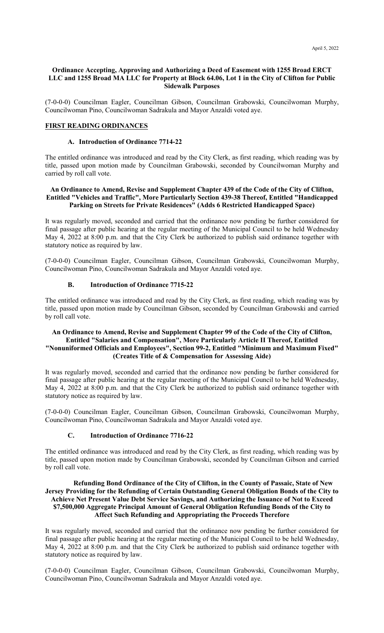#### **Ordinance Accepting, Approving and Authorizing a Deed of Easement with 1255 Broad ERCT LLC and 1255 Broad MA LLC for Property at Block 64.06, Lot 1 in the City of Clifton for Public Sidewalk Purposes**

(7-0-0-0) Councilman Eagler, Councilman Gibson, Councilman Grabowski, Councilwoman Murphy, Councilwoman Pino, Councilwoman Sadrakula and Mayor Anzaldi voted aye.

### **FIRST READING ORDINANCES**

#### **A. Introduction of Ordinance 7714-22**

The entitled ordinance was introduced and read by the City Clerk, as first reading, which reading was by title, passed upon motion made by Councilman Grabowski, seconded by Councilwoman Murphy and carried by roll call vote.

### **An Ordinance to Amend, Revise and Supplement Chapter 439 of the Code of the City of Clifton, Entitled "Vehicles and Traffic", More Particularly Section 439-38 Thereof, Entitled "Handicapped Parking on Streets for Private Residences" (Adds 6 Restricted Handicapped Space)**

It was regularly moved, seconded and carried that the ordinance now pending be further considered for final passage after public hearing at the regular meeting of the Municipal Council to be held Wednesday May 4, 2022 at 8:00 p.m. and that the City Clerk be authorized to publish said ordinance together with statutory notice as required by law.

(7-0-0-0) Councilman Eagler, Councilman Gibson, Councilman Grabowski, Councilwoman Murphy, Councilwoman Pino, Councilwoman Sadrakula and Mayor Anzaldi voted aye.

### **B. Introduction of Ordinance 7715-22**

The entitled ordinance was introduced and read by the City Clerk, as first reading, which reading was by title, passed upon motion made by Councilman Gibson, seconded by Councilman Grabowski and carried by roll call vote.

### **An Ordinance to Amend, Revise and Supplement Chapter 99 of the Code of the City of Clifton, Entitled "Salaries and Compensation", More Particularly Article II Thereof, Entitled "Nonuniformed Officials and Employees", Section 99-2, Entitled "Minimum and Maximum Fixed" (Creates Title of & Compensation for Assessing Aide)**

It was regularly moved, seconded and carried that the ordinance now pending be further considered for final passage after public hearing at the regular meeting of the Municipal Council to be held Wednesday, May 4, 2022 at 8:00 p.m. and that the City Clerk be authorized to publish said ordinance together with statutory notice as required by law.

(7-0-0-0) Councilman Eagler, Councilman Gibson, Councilman Grabowski, Councilwoman Murphy, Councilwoman Pino, Councilwoman Sadrakula and Mayor Anzaldi voted aye.

#### **C. Introduction of Ordinance 7716-22**

The entitled ordinance was introduced and read by the City Clerk, as first reading, which reading was by title, passed upon motion made by Councilman Grabowski, seconded by Councilman Gibson and carried by roll call vote.

### **Refunding Bond Ordinance of the City of Clifton, in the County of Passaic, State of New Jersey Providing for the Refunding of Certain Outstanding General Obligation Bonds of the City to Achieve Net Present Value Debt Service Savings, and Authorizing the Issuance of Not to Exceed \$7,500,000 Aggregate Principal Amount of General Obligation Refunding Bonds of the City to Affect Such Refunding and Appropriating the Proceeds Therefore**

It was regularly moved, seconded and carried that the ordinance now pending be further considered for final passage after public hearing at the regular meeting of the Municipal Council to be held Wednesday, May 4, 2022 at 8:00 p.m. and that the City Clerk be authorized to publish said ordinance together with statutory notice as required by law.

(7-0-0-0) Councilman Eagler, Councilman Gibson, Councilman Grabowski, Councilwoman Murphy, Councilwoman Pino, Councilwoman Sadrakula and Mayor Anzaldi voted aye.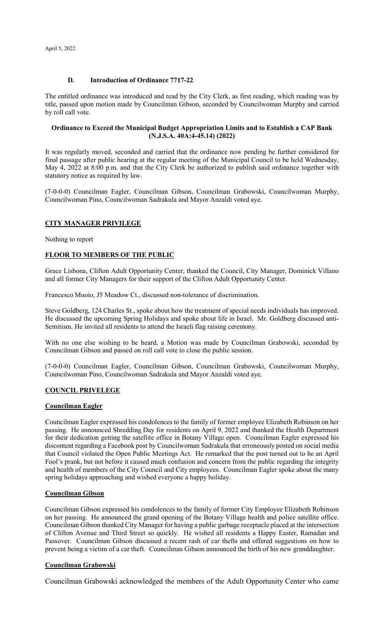### **D. Introduction of Ordinance 7717-22**

The entitled ordinance was introduced and read by the City Clerk, as first reading, which reading was by title, passed upon motion made by Councilman Gibson, seconded by Councilwoman Murphy and carried by roll call vote.

### **Ordinance to Exceed the Municipal Budget Appropriation Limits and to Establish a CAP Bank (N.J.S.A. 40A:4-45.14) (2022)**

It was regularly moved, seconded and carried that the ordinance now pending be further considered for final passage after public hearing at the regular meeting of the Municipal Council to be held Wednesday, May 4, 2022 at 8:00 p.m. and that the City Clerk be authorized to publish said ordinance together with statutory notice as required by law.

(7-0-0-0) Councilman Eagler, Councilman Gibson, Councilman Grabowski, Councilwoman Murphy, Councilwoman Pino, Councilwoman Sadrakula and Mayor Anzaldi voted aye.

### **CITY MANAGER PRIVILEGE**

Nothing to report

### **FLOOR TO MEMBERS OF THE PUBLIC**

Grace Lisbona, Clifton Adult Opportunity Center, thanked the Council, City Manager, Dominick Villano and all former City Managers for their support of the Clifton Adult Opportunity Center.

Francesco Muoio, J5 Meadow Ct., discussed non-tolerance of discrimination.

Steve Goldberg, 124 Charles St., spoke about how the treatment of special needs individuals has improved. He discussed the upcoming Spring Holidays and spoke about life in Israel. Mr. Goldberg discussed anti-Semitism. He invited all residents to attend the Israeli flag raising ceremony.

With no one else wishing to be heard, a Motion was made by Councilman Grabowski, seconded by Councilman Gibson and passed on roll call vote to close the public session.

(7-0-0-0) Councilman Eagler, Councilman Gibson, Councilman Grabowski, Councilwoman Murphy, Councilwoman Pino, Councilwoman Sadrakula and Mayor Anzaldi voted aye.

### **COUNCIL PRIVELEGE**

### **Councilman Eagler**

Councilman Eagler expressed his condolences to the family of former employee Elizabeth Robinson on her passing. He announced Shredding Day for residents on April 9, 2022 and thanked the Health Department for their dedication getting the satellite office in Botany Village open. Councilman Eagler expressed his discontent regarding a Facebook post by Councilwoman Sadrakula that erroneously posted on social media that Council violated the Open Public Meetings Act. He remarked that the post turned out to be an April Fool's prank, but not before it caused much confusion and concern from the public regarding the integrity and health of members of the City Council and City employees. Councilman Eagler spoke about the many spring holidays approaching and wished everyone a happy holiday.

### **Councilman Gibson**

Councilman Gibson expressed his condolences to the family of former City Employee Elizabeth Robinson on her passing. He announced the grand opening of the Botany Village health and police satellite office. Councilman Gibson thanked City Manager for having a public garbage receptacle placed at the intersection of Clifton Avenue and Third Street so quickly. He wished all residents a Happy Easter, Ramadan and Passover. Councilman Gibson discussed a recent rash of car thefts and offered suggestions on how to prevent being a victim of a car theft. Councilman Gibson announced the birth of his new granddaughter.

### **Councilman Grabowski**

Councilman Grabowski acknowledged the members of the Adult Opportunity Center who came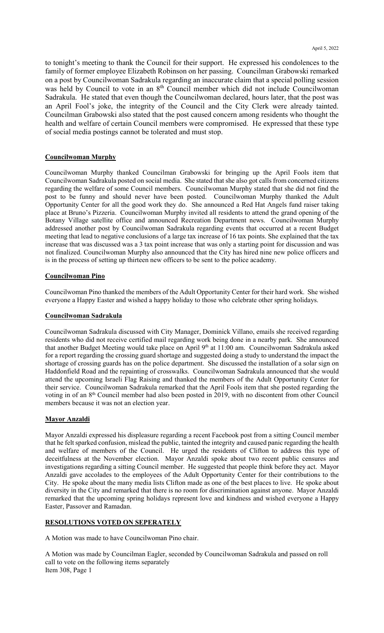to tonight's meeting to thank the Council for their support. He expressed his condolences to the family of former employee Elizabeth Robinson on her passing. Councilman Grabowski remarked on a post by Councilwoman Sadrakula regarding an inaccurate claim that a special polling session was held by Council to vote in an 8<sup>th</sup> Council member which did not include Councilwoman Sadrakula. He stated that even though the Councilwoman declared, hours later, that the post was an April Fool's joke, the integrity of the Council and the City Clerk were already tainted. Councilman Grabowski also stated that the post caused concern among residents who thought the health and welfare of certain Council members were compromised. He expressed that these type of social media postings cannot be tolerated and must stop.

#### **Councilwoman Murphy**

Councilwoman Murphy thanked Councilman Grabowski for bringing up the April Fools item that Councilwoman Sadrakula posted on social media. She stated that she also got calls from concerned citizens regarding the welfare of some Council members. Councilwoman Murphy stated that she did not find the post to be funny and should never have been posted. Councilwoman Murphy thanked the Adult Opportunity Center for all the good work they do. She announced a Red Hat Angels fund raiser taking place at Bruno's Pizzeria. Councilwoman Murphy invited all residents to attend the grand opening of the Botany Village satellite office and announced Recreation Department news. Councilwoman Murphy addressed another post by Councilwoman Sadrakula regarding events that occurred at a recent Budget meeting that lead to negative conclusions of a large tax increase of 16 tax points. She explained that the tax increase that was discussed was a 3 tax point increase that was only a starting point for discussion and was not finalized. Councilwoman Murphy also announced that the City has hired nine new police officers and is in the process of setting up thirteen new officers to be sent to the police academy.

#### **Councilwoman Pino**

Councilwoman Pino thanked the members of the Adult Opportunity Center for their hard work. She wished everyone a Happy Easter and wished a happy holiday to those who celebrate other spring holidays.

#### **Councilwoman Sadrakula**

Councilwoman Sadrakula discussed with City Manager, Dominick Villano, emails she received regarding residents who did not receive certified mail regarding work being done in a nearby park. She announced that another Budget Meeting would take place on April 9<sup>th</sup> at 11:00 am. Councilwoman Sadrakula asked for a report regarding the crossing guard shortage and suggested doing a study to understand the impact the shortage of crossing guards has on the police department. She discussed the installation of a solar sign on Haddonfield Road and the repainting of crosswalks. Councilwoman Sadrakula announced that she would attend the upcoming Israeli Flag Raising and thanked the members of the Adult Opportunity Center for their service. Councilwoman Sadrakula remarked that the April Fools item that she posted regarding the voting in of an 8<sup>th</sup> Council member had also been posted in 2019, with no discontent from other Council members because it was not an election year.

### **Mayor Anzaldi**

Mayor Anzaldi expressed his displeasure regarding a recent Facebook post from a sitting Council member that he felt sparked confusion, mislead the public, tainted the integrity and caused panic regarding the health and welfare of members of the Council. He urged the residents of Clifton to address this type of deceitfulness at the November election. Mayor Anzaldi spoke about two recent public censures and investigations regarding a sitting Council member. He suggested that people think before they act. Mayor Anzaldi gave accolades to the employees of the Adult Opportunity Center for their contributions to the City. He spoke about the many media lists Clifton made as one of the best places to live. He spoke about diversity in the City and remarked that there is no room for discrimination against anyone. Mayor Anzaldi remarked that the upcoming spring holidays represent love and kindness and wished everyone a Happy Easter, Passover and Ramadan.

#### **RESOLUTIONS VOTED ON SEPERATELY**

A Motion was made to have Councilwoman Pino chair.

A Motion was made by Councilman Eagler, seconded by Councilwoman Sadrakula and passed on roll call to vote on the following items separately Item 308, Page 1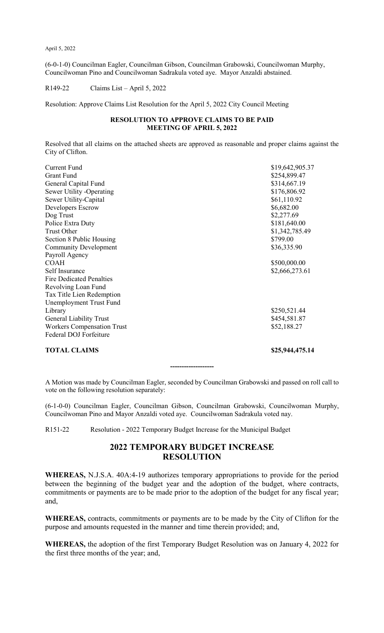(6-0-1-0) Councilman Eagler, Councilman Gibson, Councilman Grabowski, Councilwoman Murphy, Councilwoman Pino and Councilwoman Sadrakula voted aye. Mayor Anzaldi abstained.

R149-22 Claims List – April 5, 2022

Resolution: Approve Claims List Resolution for the April 5, 2022 City Council Meeting

### **RESOLUTION TO APPROVE CLAIMS TO BE PAID MEETING OF APRIL 5, 2022**

Resolved that all claims on the attached sheets are approved as reasonable and proper claims against the City of Clifton.

| <b>Current Fund</b>               | \$19,642,905.37 |
|-----------------------------------|-----------------|
| <b>Grant Fund</b>                 | \$254,899.47    |
| General Capital Fund              | \$314,667.19    |
| Sewer Utility -Operating          | \$176,806.92    |
| Sewer Utility-Capital             | \$61,110.92     |
| Developers Escrow                 | \$6,682.00      |
| Dog Trust                         | \$2,277.69      |
| Police Extra Duty                 | \$181,640.00    |
| <b>Trust Other</b>                | \$1,342,785.49  |
| Section 8 Public Housing          | \$799.00        |
| <b>Community Development</b>      | \$36,335.90     |
| Payroll Agency                    |                 |
| <b>COAH</b>                       | \$500,000.00    |
| Self Insurance                    | \$2,666,273.61  |
| <b>Fire Dedicated Penalties</b>   |                 |
| Revolving Loan Fund               |                 |
| Tax Title Lien Redemption         |                 |
| Unemployment Trust Fund           |                 |
| Library                           | \$250,521.44    |
| General Liability Trust           | \$454,581.87    |
| <b>Workers Compensation Trust</b> | \$52,188.27     |
| Federal DOJ Forfeiture            |                 |
| <b>TOTAL CLAIMS</b>               | \$25,944,475.14 |

**-------------------**

A Motion was made by Councilman Eagler, seconded by Councilman Grabowski and passed on roll call to vote on the following resolution separately:

(6-1-0-0) Councilman Eagler, Councilman Gibson, Councilman Grabowski, Councilwoman Murphy, Councilwoman Pino and Mayor Anzaldi voted aye. Councilwoman Sadrakula voted nay.

R151-22 Resolution - 2022 Temporary Budget Increase for the Municipal Budget

## **2022 TEMPORARY BUDGET INCREASE RESOLUTION**

**WHEREAS,** N.J.S.A. 40A:4-19 authorizes temporary appropriations to provide for the period between the beginning of the budget year and the adoption of the budget, where contracts, commitments or payments are to be made prior to the adoption of the budget for any fiscal year; and,

**WHEREAS,** contracts, commitments or payments are to be made by the City of Clifton for the purpose and amounts requested in the manner and time therein provided; and,

**WHEREAS,** the adoption of the first Temporary Budget Resolution was on January 4, 2022 for the first three months of the year; and,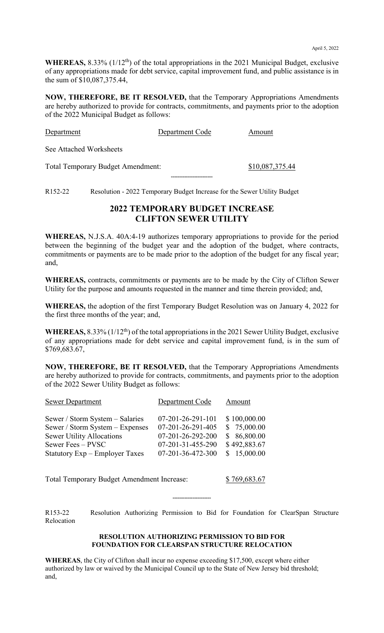WHEREAS, 8.33% (1/12<sup>th</sup>) of the total appropriations in the 2021 Municipal Budget, exclusive of any appropriations made for debt service, capital improvement fund, and public assistance is in the sum of \$10,087,375.44,

**NOW, THEREFORE, BE IT RESOLVED,** that the Temporary Appropriations Amendments are hereby authorized to provide for contracts, commitments, and payments prior to the adoption of the 2022 Municipal Budget as follows:

| Department                               | Department Code | Amount          |
|------------------------------------------|-----------------|-----------------|
| See Attached Worksheets                  |                 |                 |
| <b>Total Temporary Budget Amendment:</b> |                 | \$10,087,375.44 |

R152-22 Resolution - 2022 Temporary Budget Increase for the Sewer Utility Budget

## **2022 TEMPORARY BUDGET INCREASE CLIFTON SEWER UTILITY**

**-------------------------**

**WHEREAS,** N.J.S.A. 40A:4-19 authorizes temporary appropriations to provide for the period between the beginning of the budget year and the adoption of the budget, where contracts, commitments or payments are to be made prior to the adoption of the budget for any fiscal year; and,

**WHEREAS,** contracts, commitments or payments are to be made by the City of Clifton Sewer Utility for the purpose and amounts requested in the manner and time therein provided; and,

**WHEREAS,** the adoption of the first Temporary Budget Resolution was on January 4, 2022 for the first three months of the year; and,

WHEREAS, 8.33% (1/12<sup>th</sup>) of the total appropriations in the 2021 Sewer Utility Budget, exclusive of any appropriations made for debt service and capital improvement fund, is in the sum of \$769,683.67,

**NOW, THEREFORE, BE IT RESOLVED,** that the Temporary Appropriations Amendments are hereby authorized to provide for contracts, commitments, and payments prior to the adoption of the 2022 Sewer Utility Budget as follows:

| <b>Sewer Department</b>          | Department Code             | Amount       |
|----------------------------------|-----------------------------|--------------|
| Sewer / Storm System - Salaries  | $07 - 201 - 26 - 291 - 101$ | \$100,000.00 |
| Sewer / Storm System – Expenses  | 07-201-26-291-405           | \$75,000.00  |
| <b>Sewer Utility Allocations</b> | 07-201-26-292-200           | \$86,800.00  |
| Sewer Fees - PVSC                | 07-201-31-455-290           | \$492,883.67 |
| Statutory Exp – Employer Taxes   | 07-201-36-472-300           | \$15,000.00  |

Total Temporary Budget Amendment Increase: \$ 769,683.67

**-----------------------**

R153-22 Resolution Authorizing Permission to Bid for Foundation for ClearSpan Structure Relocation

### **RESOLUTION AUTHORIZING PERMISSION TO BID FOR FOUNDATION FOR CLEARSPAN STRUCTURE RELOCATION**

**WHEREAS**, the City of Clifton shall incur no expense exceeding \$17,500, except where either authorized by law or waived by the Municipal Council up to the State of New Jersey bid threshold; and,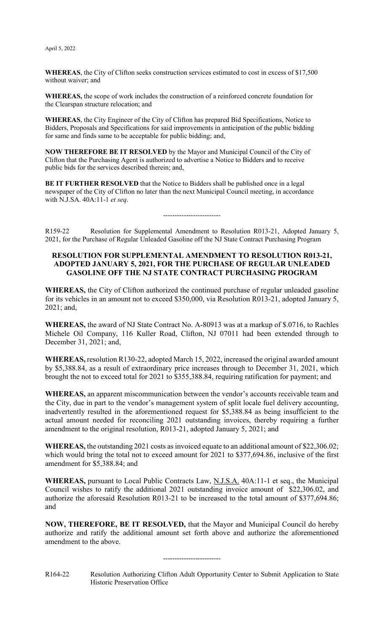**WHEREAS**, the City of Clifton seeks construction services estimated to cost in excess of \$17,500 without waiver; and

**WHEREAS,** the scope of work includes the construction of a reinforced concrete foundation for the Clearspan structure relocation; and

**WHEREAS**, the City Engineer of the City of Clifton has prepared Bid Specifications, Notice to Bidders, Proposals and Specifications for said improvements in anticipation of the public bidding for same and finds same to be acceptable for public bidding; and,

**NOW THEREFORE BE IT RESOLVED** by the Mayor and Municipal Council of the City of Clifton that the Purchasing Agent is authorized to advertise a Notice to Bidders and to receive public bids for the services described therein; and,

**BE IT FURTHER RESOLVED** that the Notice to Bidders shall be published once in a legal newspaper of the City of Clifton no later than the next Municipal Council meeting, in accordance with N.J.SA. 40A:11-1 *et seq*.

R159-22 Resolution for Supplemental Amendment to Resolution R013-21, Adopted January 5, 2021, for the Purchase of Regular Unleaded Gasoline off the NJ State Contract Purchasing Program

-------------------------

### **RESOLUTION FOR SUPPLEMENTAL AMENDMENT TO RESOLUTION R013-21, ADOPTED JANUARY 5, 2021, FOR THE PURCHASE OF REGULAR UNLEADED GASOLINE OFF THE NJ STATE CONTRACT PURCHASING PROGRAM**

**WHEREAS,** the City of Clifton authorized the continued purchase of regular unleaded gasoline for its vehicles in an amount not to exceed \$350,000, via Resolution R013-21, adopted January 5, 2021; and,

**WHEREAS,** the award of NJ State Contract No. A-80913 was at a markup of \$.0716, to Rachles Michele Oil Company, 116 Kuller Road, Clifton, NJ 07011 had been extended through to December 31, 2021; and,

**WHEREAS,** resolution R130-22, adopted March 15, 2022, increased the original awarded amount by \$5,388.84, as a result of extraordinary price increases through to December 31, 2021, which brought the not to exceed total for 2021 to \$355,388.84, requiring ratification for payment; and

**WHEREAS,** an apparent miscommunication between the vendor's accounts receivable team and the City, due in part to the vendor's management system of split locale fuel delivery accounting, inadvertently resulted in the aforementioned request for \$5,388.84 as being insufficient to the actual amount needed for reconciling 2021 outstanding invoices, thereby requiring a further amendment to the original resolution, R013-21, adopted January 5, 2021; and

**WHEREAS,** the outstanding 2021 costs as invoiced equate to an additional amount of \$22,306.02; which would bring the total not to exceed amount for 2021 to \$377,694.86, inclusive of the first amendment for \$5,388.84; and

**WHEREAS,** pursuant to Local Public Contracts Law, N.J.S.A. 40A:11-1 et seq., the Municipal Council wishes to ratify the additional 2021 outstanding invoice amount of \$22,306.02, and authorize the aforesaid Resolution R013-21 to be increased to the total amount of \$377,694.86; and

**NOW, THEREFORE, BE IT RESOLVED,** that the Mayor and Municipal Council do hereby authorize and ratify the additional amount set forth above and authorize the aforementioned amendment to the above.

### -------------------------

R164-22 Resolution Authorizing Clifton Adult Opportunity Center to Submit Application to State Historic Preservation Office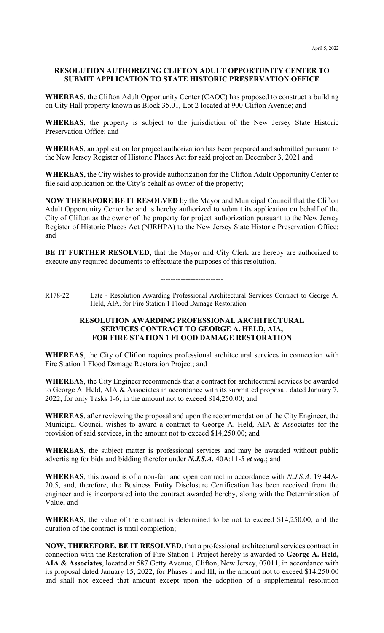### **RESOLUTION AUTHORIZING CLIFTON ADULT OPPORTUNITY CENTER TO SUBMIT APPLICATION TO STATE HISTORIC PRESERVATION OFFICE**

**WHEREAS**, the Clifton Adult Opportunity Center (CAOC) has proposed to construct a building on City Hall property known as Block 35.01, Lot 2 located at 900 Clifton Avenue; and

**WHEREAS**, the property is subject to the jurisdiction of the New Jersey State Historic Preservation Office; and

**WHEREAS**, an application for project authorization has been prepared and submitted pursuant to the New Jersey Register of Historic Places Act for said project on December 3, 2021 and

**WHEREAS,** the City wishes to provide authorization for the Clifton Adult Opportunity Center to file said application on the City's behalf as owner of the property;

**NOW THEREFORE BE IT RESOLVED** by the Mayor and Municipal Council that the Clifton Adult Opportunity Center be and is hereby authorized to submit its application on behalf of the City of Clifton as the owner of the property for project authorization pursuant to the New Jersey Register of Historic Places Act (NJRHPA) to the New Jersey State Historic Preservation Office; and

**BE IT FURTHER RESOLVED**, that the Mayor and City Clerk are hereby are authorized to execute any required documents to effectuate the purposes of this resolution.

-------------------------

R178-22 Late - Resolution Awarding Professional Architectural Services Contract to George A. Held, AIA, for Fire Station 1 Flood Damage Restoration

### **RESOLUTION AWARDING PROFESSIONAL ARCHITECTURAL SERVICES CONTRACT TO GEORGE A. HELD, AIA, FOR FIRE STATION 1 FLOOD DAMAGE RESTORATION**

**WHEREAS**, the City of Clifton requires professional architectural services in connection with Fire Station 1 Flood Damage Restoration Project; and

**WHEREAS**, the City Engineer recommends that a contract for architectural services be awarded to George A. Held, AIA & Associates in accordance with its submitted proposal, dated January 7, 2022, for only Tasks 1-6, in the amount not to exceed \$14,250.00; and

**WHEREAS**, after reviewing the proposal and upon the recommendation of the City Engineer, the Municipal Council wishes to award a contract to George A. Held, AIA & Associates for the provision of said services, in the amount not to exceed \$14,250.00; and

**WHEREAS**, the subject matter is professional services and may be awarded without public advertising for bids and bidding therefor under *N.J.S.A.* 40A:11-5 *et seq.*; and

**WHEREAS**, this award is of a non-fair and open contract in accordance with *N.J.S.A*. 19:44A-20.5, and, therefore, the Business Entity Disclosure Certification has been received from the engineer and is incorporated into the contract awarded hereby, along with the Determination of Value; and

**WHEREAS**, the value of the contract is determined to be not to exceed \$14,250.00, and the duration of the contract is until completion;

**NOW, THEREFORE, BE IT RESOLVED**, that a professional architectural services contract in connection with the Restoration of Fire Station 1 Project hereby is awarded to **George A. Held, AIA & Associates**, located at 587 Getty Avenue, Clifton, New Jersey, 07011, in accordance with its proposal dated January 15, 2022, for Phases I and III, in the amount not to exceed \$14,250.00 and shall not exceed that amount except upon the adoption of a supplemental resolution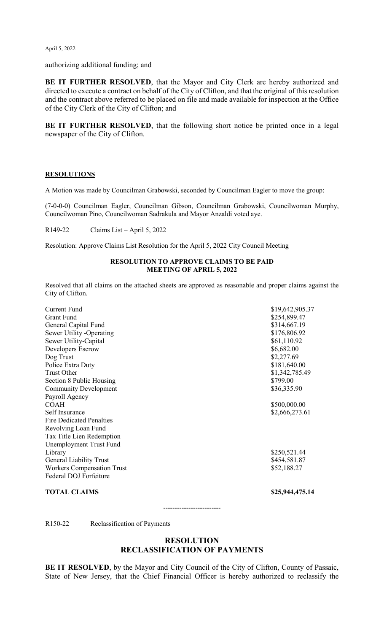authorizing additional funding; and

**BE IT FURTHER RESOLVED**, that the Mayor and City Clerk are hereby authorized and directed to execute a contract on behalf of the City of Clifton, and that the original of this resolution and the contract above referred to be placed on file and made available for inspection at the Office of the City Clerk of the City of Clifton; and

**BE IT FURTHER RESOLVED**, that the following short notice be printed once in a legal newspaper of the City of Clifton.

### **RESOLUTIONS**

A Motion was made by Councilman Grabowski, seconded by Councilman Eagler to move the group:

(7-0-0-0) Councilman Eagler, Councilman Gibson, Councilman Grabowski, Councilwoman Murphy, Councilwoman Pino, Councilwoman Sadrakula and Mayor Anzaldi voted aye.

R149-22 Claims List – April 5, 2022

Resolution: Approve Claims List Resolution for the April 5, 2022 City Council Meeting

### **RESOLUTION TO APPROVE CLAIMS TO BE PAID MEETING OF APRIL 5, 2022**

Resolved that all claims on the attached sheets are approved as reasonable and proper claims against the City of Clifton.

| <b>Current Fund</b>               | \$19,642,905.37 |
|-----------------------------------|-----------------|
| <b>Grant Fund</b>                 | \$254,899.47    |
| General Capital Fund              | \$314,667.19    |
| Sewer Utility -Operating          | \$176,806.92    |
| Sewer Utility-Capital             | \$61,110.92     |
| Developers Escrow                 | \$6,682.00      |
| Dog Trust                         | \$2,277.69      |
| Police Extra Duty                 | \$181,640.00    |
| <b>Trust Other</b>                | \$1,342,785.49  |
| Section 8 Public Housing          | \$799.00        |
| <b>Community Development</b>      | \$36,335.90     |
| Payroll Agency                    |                 |
| <b>COAH</b>                       | \$500,000.00    |
| Self Insurance                    | \$2,666,273.61  |
| <b>Fire Dedicated Penalties</b>   |                 |
| Revolving Loan Fund               |                 |
| Tax Title Lien Redemption         |                 |
| Unemployment Trust Fund           |                 |
| Library                           | \$250,521.44    |
| <b>General Liability Trust</b>    | \$454,581.87    |
| <b>Workers Compensation Trust</b> | \$52,188.27     |
| Federal DOJ Forfeiture            |                 |
|                                   |                 |

**TOTAL CLAIMS** \$25,944,475.14

-------------------------

R150-22 Reclassification of Payments

### **RESOLUTION RECLASSIFICATION OF PAYMENTS**

**BE IT RESOLVED**, by the Mayor and City Council of the City of Clifton, County of Passaic, State of New Jersey, that the Chief Financial Officer is hereby authorized to reclassify the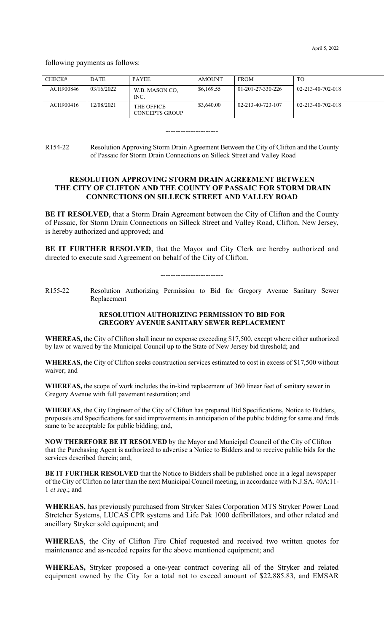following payments as follows:

| CHECK#    | <b>DATE</b> | <b>PAYEE</b>                 | AMOUNT     | <b>FROM</b>       | TO                |
|-----------|-------------|------------------------------|------------|-------------------|-------------------|
| ACH900846 | 03/16/2022  | W.B. MASON CO.<br>INC.       | \$6,169.55 | 01-201-27-330-226 | 02-213-40-702-018 |
| ACH900416 | 12/08/2021  | THE OFFICE<br>CONCEPTS GROUP | \$3,640.00 | 02-213-40-723-107 | 02-213-40-702-018 |

#### ---------------------

R154-22 Resolution Approving Storm Drain Agreement Between the City of Clifton and the County of Passaic for Storm Drain Connections on Silleck Street and Valley Road

### **RESOLUTION APPROVING STORM DRAIN AGREEMENT BETWEEN THE CITY OF CLIFTON AND THE COUNTY OF PASSAIC FOR STORM DRAIN CONNECTIONS ON SILLECK STREET AND VALLEY ROAD**

**BE IT RESOLVED**, that a Storm Drain Agreement between the City of Clifton and the County of Passaic, for Storm Drain Connections on Silleck Street and Valley Road, Clifton, New Jersey, is hereby authorized and approved; and

**BE IT FURTHER RESOLVED**, that the Mayor and City Clerk are hereby authorized and directed to execute said Agreement on behalf of the City of Clifton.

-------------------------

R155-22 Resolution Authorizing Permission to Bid for Gregory Avenue Sanitary Sewer Replacement

#### **RESOLUTION AUTHORIZING PERMISSION TO BID FOR GREGORY AVENUE SANITARY SEWER REPLACEMENT**

**WHEREAS,** the City of Clifton shall incur no expense exceeding \$17,500, except where either authorized by law or waived by the Municipal Council up to the State of New Jersey bid threshold; and

**WHEREAS,** the City of Clifton seeks construction services estimated to cost in excess of \$17,500 without waiver; and

**WHEREAS,** the scope of work includes the in-kind replacement of 360 linear feet of sanitary sewer in Gregory Avenue with full pavement restoration; and

**WHEREAS**, the City Engineer of the City of Clifton has prepared Bid Specifications, Notice to Bidders, proposals and Specifications for said improvements in anticipation of the public bidding for same and finds same to be acceptable for public bidding; and,

**NOW THEREFORE BE IT RESOLVED** by the Mayor and Municipal Council of the City of Clifton that the Purchasing Agent is authorized to advertise a Notice to Bidders and to receive public bids for the services described therein; and,

**BE IT FURTHER RESOLVED** that the Notice to Bidders shall be published once in a legal newspaper of the City of Clifton no later than the next Municipal Council meeting, in accordance with N.J.SA. 40A:11- 1 *et seq*.; and

**WHEREAS,** has previously purchased from Stryker Sales Corporation MTS Stryker Power Load Stretcher Systems, LUCAS CPR systems and Life Pak 1000 defibrillators, and other related and ancillary Stryker sold equipment; and

**WHEREAS**, the City of Clifton Fire Chief requested and received two written quotes for maintenance and as-needed repairs for the above mentioned equipment; and

**WHEREAS,** Stryker proposed a one-year contract covering all of the Stryker and related equipment owned by the City for a total not to exceed amount of \$22,885.83, and EMSAR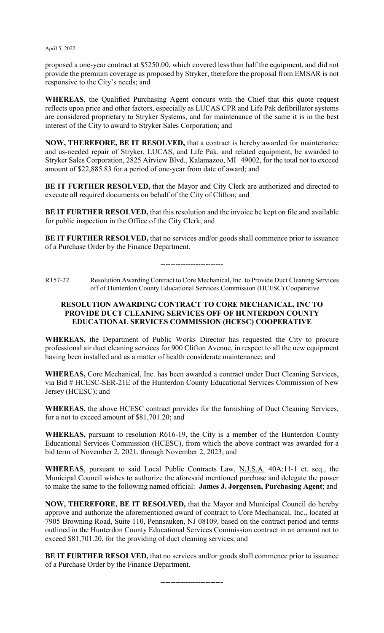proposed a one-year contract at \$5250.00, which covered less than half the equipment, and did not provide the premium coverage as proposed by Stryker, therefore the proposal from EMSAR is not responsive to the City's needs; and

**WHEREAS**, the Qualified Purchasing Agent concurs with the Chief that this quote request reflects upon price and other factors, especially as LUCAS CPR and Life Pak defibrillator systems are considered proprietary to Stryker Systems, and for maintenance of the same it is in the best interest of the City to award to Stryker Sales Corporation; and

**NOW, THEREFORE, BE IT RESOLVED,** that a contract is hereby awarded for maintenance and as-needed repair of Stryker, LUCAS, and Life Pak, and related equipment, be awarded to Stryker Sales Corporation, 2825 Airview Blvd., Kalamazoo, MI 49002, for the total not to exceed amount of \$22,885.83 for a period of one-year from date of award; and

BE IT FURTHER RESOLVED, that the Mayor and City Clerk are authorized and directed to execute all required documents on behalf of the City of Clifton; and

**BE IT FURTHER RESOLVED,** that this resolution and the invoice be kept on file and available for public inspection in the Office of the City Clerk; and

**BE IT FURTHER RESOLVED, that no services and/or goods shall commence prior to issuance** of a Purchase Order by the Finance Department.

-------------------------

R157-22 Resolution Awarding Contract to Core Mechanical, Inc. to Provide Duct Cleaning Services off of Hunterdon County Educational Services Commission (HCESC) Cooperative

## **RESOLUTION AWARDING CONTRACT TO CORE MECHANICAL, INC TO PROVIDE DUCT CLEANING SERVICES OFF OF HUNTERDON COUNTY EDUCATIONAL SERVICES COMMISSION (HCESC) COOPERATIVE**

**WHEREAS,** the Department of Public Works Director has requested the City to procure professional air duct cleaning services for 900 Clifton Avenue, in respect to all the new equipment having been installed and as a matter of health considerate maintenance; and

**WHEREAS,** Core Mechanical, Inc. has been awarded a contract under Duct Cleaning Services, via Bid # HCESC-SER-21E of the Hunterdon County Educational Services Commission of New Jersey (HCESC); and

**WHEREAS,** the above HCESC contract provides for the furnishing of Duct Cleaning Services, for a not to exceed amount of \$81,701.20; and

**WHEREAS,** pursuant to resolution R616-19, the City is a member of the Hunterdon County Educational Services Commission (HCESC), from which the above contract was awarded for a bid term of November 2, 2021, through November 2, 2023; and

**WHEREAS**, pursuant to said Local Public Contracts Law, N.J.S.A. 40A:11-1 et. seq., the Municipal Council wishes to authorize the aforesaid mentioned purchase and delegate the power to make the same to the following named official: **James J. Jorgensen, Purchasing Agent**; and

**NOW, THEREFORE, BE IT RESOLVED,** that the Mayor and Municipal Council do hereby approve and authorize the aforementioned award of contract to Core Mechanical, Inc., located at 7905 Browning Road, Suite 110, Pennsauken, NJ 08109, based on the contract period and terms outlined in the Hunterdon County Educational Services Commission contract in an amount not to exceed \$81,701.20, for the providing of duct cleaning services; and

**BE IT FURTHER RESOLVED,** that no services and/or goods shall commence prior to issuance of a Purchase Order by the Finance Department.

**-------------------------**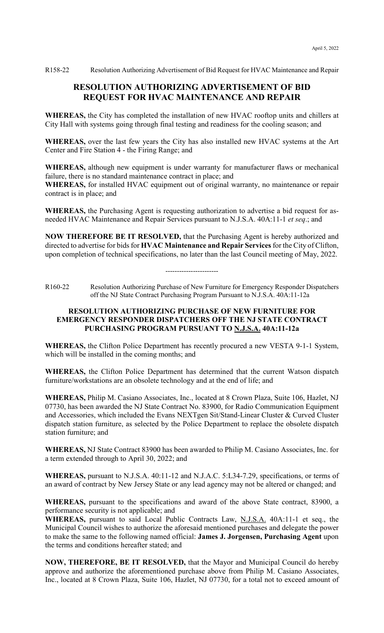R158-22 Resolution Authorizing Advertisement of Bid Request for HVAC Maintenance and Repair

# **RESOLUTION AUTHORIZING ADVERTISEMENT OF BID REQUEST FOR HVAC MAINTENANCE AND REPAIR**

**WHEREAS,** the City has completed the installation of new HVAC rooftop units and chillers at City Hall with systems going through final testing and readiness for the cooling season; and

**WHEREAS,** over the last few years the City has also installed new HVAC systems at the Art Center and Fire Station 4 - the Firing Range; and

**WHEREAS,** although new equipment is under warranty for manufacturer flaws or mechanical failure, there is no standard maintenance contract in place; and **WHEREAS,** for installed HVAC equipment out of original warranty, no maintenance or repair contract is in place; and

**WHEREAS,** the Purchasing Agent is requesting authorization to advertise a bid request for asneeded HVAC Maintenance and Repair Services pursuant to N.J.S.A. 40A:11-1 *et seq*.; and

**NOW THEREFORE BE IT RESOLVED,** that the Purchasing Agent is hereby authorized and directed to advertise for bids for **HVAC Maintenance and Repair Services** for the City of Clifton, upon completion of technical specifications, no later than the last Council meeting of May, 2022.

-----------------------

R160-22 Resolution Authorizing Purchase of New Furniture for Emergency Responder Dispatchers off the NJ State Contract Purchasing Program Pursuant to N.J.S.A. 40A:11-12a

## **RESOLUTION AUTHORIZING PURCHASE OF NEW FURNITURE FOR EMERGENCY RESPONDER DISPATCHERS OFF THE NJ STATE CONTRACT PURCHASING PROGRAM PURSUANT TO N.J.S.A. 40A:11-12a**

**WHEREAS,** the Clifton Police Department has recently procured a new VESTA 9-1-1 System, which will be installed in the coming months; and

**WHEREAS,** the Clifton Police Department has determined that the current Watson dispatch furniture/workstations are an obsolete technology and at the end of life; and

**WHEREAS,** Philip M. Casiano Associates, Inc., located at 8 Crown Plaza, Suite 106, Hazlet, NJ 07730, has been awarded the NJ State Contract No. 83900, for Radio Communication Equipment and Accessories, which included the Evans NEXTgen Sit/Stand-Linear Cluster & Curved Cluster dispatch station furniture, as selected by the Police Department to replace the obsolete dispatch station furniture; and

**WHEREAS,** NJ State Contract 83900 has been awarded to Philip M. Casiano Associates, Inc. for a term extended through to April 30, 2022; and

**WHEREAS,** pursuant to N.J.S.A. 40:11-12 and N.J.A.C. 5:L34-7.29, specifications, or terms of an award of contract by New Jersey State or any lead agency may not be altered or changed; and

**WHEREAS,** pursuant to the specifications and award of the above State contract, 83900, a performance security is not applicable; and

**WHEREAS,** pursuant to said Local Public Contracts Law, N.J.S.A. 40A:11-1 et seq., the Municipal Council wishes to authorize the aforesaid mentioned purchases and delegate the power to make the same to the following named official: **James J. Jorgensen, Purchasing Agent** upon the terms and conditions hereafter stated; and

**NOW, THEREFORE, BE IT RESOLVED,** that the Mayor and Municipal Council do hereby approve and authorize the aforementioned purchase above from Philip M. Casiano Associates, Inc., located at 8 Crown Plaza, Suite 106, Hazlet, NJ 07730, for a total not to exceed amount of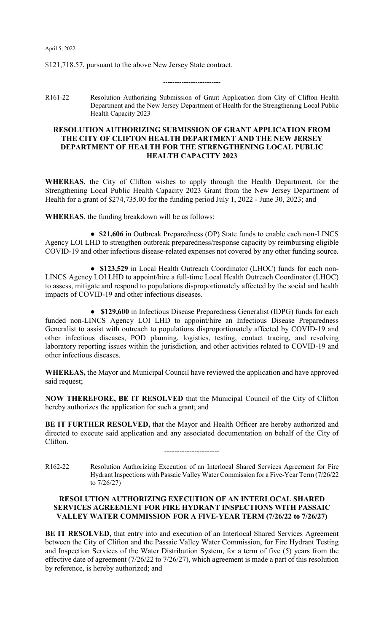\$121,718.57, pursuant to the above New Jersey State contract.

R161-22 Resolution Authorizing Submission of Grant Application from City of Clifton Health Department and the New Jersey Department of Health for the Strengthening Local Public Health Capacity 2023

-------------------------

### **RESOLUTION AUTHORIZING SUBMISSION OF GRANT APPLICATION FROM THE CITY OF CLIFTON HEALTH DEPARTMENT AND THE NEW JERSEY DEPARTMENT OF HEALTH FOR THE STRENGTHENING LOCAL PUBLIC HEALTH CAPACITY 2023**

**WHEREAS**, the City of Clifton wishes to apply through the Health Department, for the Strengthening Local Public Health Capacity 2023 Grant from the New Jersey Department of Health for a grant of \$274,735.00 for the funding period July 1, 2022 - June 30, 2023; and

**WHEREAS**, the funding breakdown will be as follows:

● **\$21,606** in Outbreak Preparedness (OP) State funds to enable each non-LINCS Agency LOI LHD to strengthen outbreak preparedness/response capacity by reimbursing eligible COVID-19 and other infectious disease-related expenses not covered by any other funding source.

● **\$123,529** in Local Health Outreach Coordinator (LHOC) funds for each non-LINCS Agency LOI LHD to appoint/hire a full-time Local Health Outreach Coordinator (LHOC) to assess, mitigate and respond to populations disproportionately affected by the social and health impacts of COVID-19 and other infectious diseases.

● **\$129,600** in Infectious Disease Preparedness Generalist (IDPG) funds for each funded non-LINCS Agency LOI LHD to appoint/hire an Infectious Disease Preparedness Generalist to assist with outreach to populations disproportionately affected by COVID-19 and other infectious diseases, POD planning, logistics, testing, contact tracing, and resolving laboratory reporting issues within the jurisdiction, and other activities related to COVID-19 and other infectious diseases.

**WHEREAS,** the Mayor and Municipal Council have reviewed the application and have approved said request;

**NOW THEREFORE, BE IT RESOLVED** that the Municipal Council of the City of Clifton hereby authorizes the application for such a grant; and

BE IT FURTHER RESOLVED, that the Mayor and Health Officer are hereby authorized and directed to execute said application and any associated documentation on behalf of the City of Clifton.

----------------------

R162-22 Resolution Authorizing Execution of an Interlocal Shared Services Agreement for Fire Hydrant Inspections with Passaic Valley Water Commission for a Five-Year Term (7/26/22 to 7/26/27)

## **RESOLUTION AUTHORIZING EXECUTION OF AN INTERLOCAL SHARED SERVICES AGREEMENT FOR FIRE HYDRANT INSPECTIONS WITH PASSAIC VALLEY WATER COMMISSION FOR A FIVE-YEAR TERM (7/26/22 to 7/26/27)**

**BE IT RESOLVED**, that entry into and execution of an Interlocal Shared Services Agreement between the City of Clifton and the Passaic Valley Water Commission, for Fire Hydrant Testing and Inspection Services of the Water Distribution System, for a term of five (5) years from the effective date of agreement (7/26/22 to 7/26/27), which agreement is made a part of this resolution by reference, is hereby authorized; and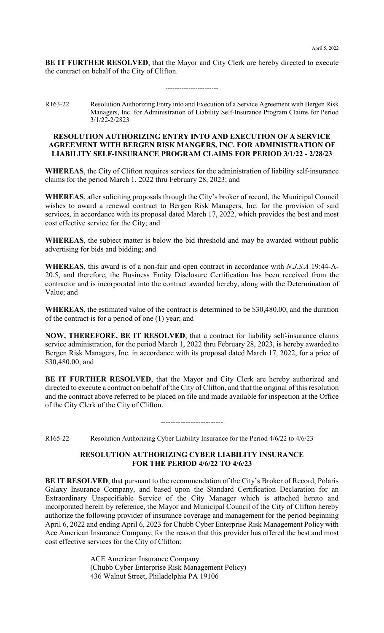**BE IT FURTHER RESOLVED**, that the Mayor and City Clerk are hereby directed to execute the contract on behalf of the City of Clifton.

-----------------------

R163-22 Resolution Authorizing Entry into and Execution of a Service Agreement with Bergen Risk Managers, Inc. for Administration of Liability Self-Insurance Program Claims for Period 3/1/22-2/2823

### **RESOLUTION AUTHORIZING ENTRY INTO AND EXECUTION OF A SERVICE AGREEMENT WITH BERGEN RISK MANGERS, INC. FOR ADMINISTRATION OF LIABILITY SELF-INSURANCE PROGRAM CLAIMS FOR PERIOD 3/1/22 - 2/28/23**

**WHEREAS**, the City of Clifton requires services for the administration of liability self-insurance claims for the period March 1, 2022 thru February 28, 2023; and

**WHEREAS**, after soliciting proposals through the City's broker of record, the Municipal Council wishes to award a renewal contract to Bergen Risk Managers, Inc. for the provision of said services, in accordance with its proposal dated March 17, 2022, which provides the best and most cost effective service for the City; and

**WHEREAS**, the subject matter is below the bid threshold and may be awarded without public advertising for bids and bidding; and

**WHEREAS**, this award is of a non-fair and open contract in accordance with *N.J.S.A* 19:44-A-20.5, and therefore, the Business Entity Disclosure Certification has been received from the contractor and is incorporated into the contract awarded hereby, along with the Determination of Value; and

**WHEREAS**, the estimated value of the contract is determined to be \$30,480.00, and the duration of the contract is for a period of one (1) year; and

**NOW, THEREFORE, BE IT RESOLVED**, that a contract for liability self-insurance claims service administration, for the period March 1, 2022 thru February 28, 2023, is hereby awarded to Bergen Risk Managers, Inc. in accordance with its proposal dated March 17, 2022, for a price of \$30,480.00; and

**BE IT FURTHER RESOLVED**, that the Mayor and City Clerk are hereby authorized and directed to execute a contract on behalf of the City of Clifton, and that the original of this resolution and the contract above referred to be placed on file and made available for inspection at the Office of the City Clerk of the City of Clifton.

-------------------------

R165-22 Resolution Authorizing Cyber Liability Insurance for the Period 4/6/22 to 4/6/23

### **RESOLUTION AUTHORIZING CYBER LIABILITY INSURANCE FOR THE PERIOD 4/6/22 TO 4/6/23**

**BE IT RESOLVED**, that pursuant to the recommendation of the City's Broker of Record, Polaris Galaxy Insurance Company, and based upon the Standard Certification Declaration for an Extraordinary Unspecifiable Service of the City Manager which is attached hereto and incorporated herein by reference, the Mayor and Municipal Council of the City of Clifton hereby authorize the following provider of insurance coverage and management for the period beginning April 6, 2022 and ending April 6, 2023 for Chubb Cyber Enterprise Risk Management Policy with Ace American Insurance Company, for the reason that this provider has offered the best and most cost effective services for the City of Clifton:

> ACE American Insurance Company (Chubb Cyber Enterprise Risk Management Policy) 436 Walnut Street, Philadelphia PA 19106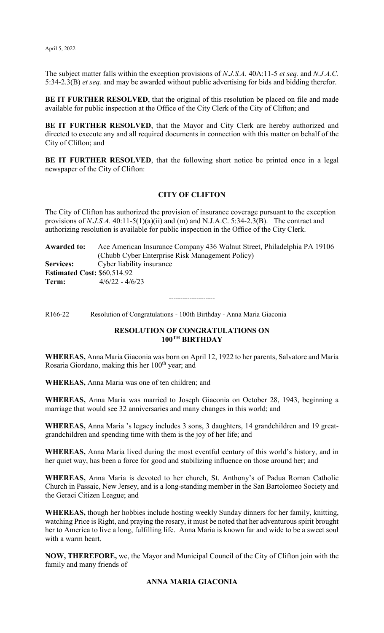The subject matter falls within the exception provisions of *N.J.S.A.* 40A:11-5 *et seq.* and *N.J.A.C.* 5:34-2.3(B) *et seq.* and may be awarded without public advertising for bids and bidding therefor.

BE IT FURTHER RESOLVED, that the original of this resolution be placed on file and made available for public inspection at the Office of the City Clerk of the City of Clifton; and

**BE IT FURTHER RESOLVED**, that the Mayor and City Clerk are hereby authorized and directed to execute any and all required documents in connection with this matter on behalf of the City of Clifton; and

**BE IT FURTHER RESOLVED**, that the following short notice be printed once in a legal newspaper of the City of Clifton:

### **CITY OF CLIFTON**

The City of Clifton has authorized the provision of insurance coverage pursuant to the exception provisions of *N.J.S.A.* 40:11-5(1)(a)(ii) and (m) and N.J.A.C. 5:34-2.3(B). The contract and authorizing resolution is available for public inspection in the Office of the City Clerk.

**Awarded to:** Ace American Insurance Company 436 Walnut Street, Philadelphia PA 19106 (Chubb Cyber Enterprise Risk Management Policy) **Services:** Cyber liability insurance **Estimated Cost:** \$60,514.92 **Term:** 4/6/22 - 4/6/23

--------------------

R166-22 Resolution of Congratulations - 100th Birthday - Anna Maria Giaconia

## **RESOLUTION OF CONGRATULATIONS ON 100TH BIRTHDAY**

**WHEREAS,** Anna Maria Giaconia was born on April 12, 1922 to her parents, Salvatore and Maria Rosaria Giordano, making this her 100<sup>th</sup> year; and

**WHEREAS,** Anna Maria was one of ten children; and

**WHEREAS,** Anna Maria was married to Joseph Giaconia on October 28, 1943, beginning a marriage that would see 32 anniversaries and many changes in this world; and

**WHEREAS,** Anna Maria 's legacy includes 3 sons, 3 daughters, 14 grandchildren and 19 greatgrandchildren and spending time with them is the joy of her life; and

**WHEREAS,** Anna Maria lived during the most eventful century of this world's history, and in her quiet way, has been a force for good and stabilizing influence on those around her; and

**WHEREAS,** Anna Maria is devoted to her church, St. Anthony's of Padua Roman Catholic Church in Passaic, New Jersey, and is a long-standing member in the San Bartolomeo Society and the Geraci Citizen League; and

**WHEREAS,** though her hobbies include hosting weekly Sunday dinners for her family, knitting, watching Price is Right, and praying the rosary, it must be noted that her adventurous spirit brought her to America to live a long, fulfilling life. Anna Maria is known far and wide to be a sweet soul with a warm heart.

**NOW, THEREFORE,** we, the Mayor and Municipal Council of the City of Clifton join with the family and many friends of

## **ANNA MARIA GIACONIA**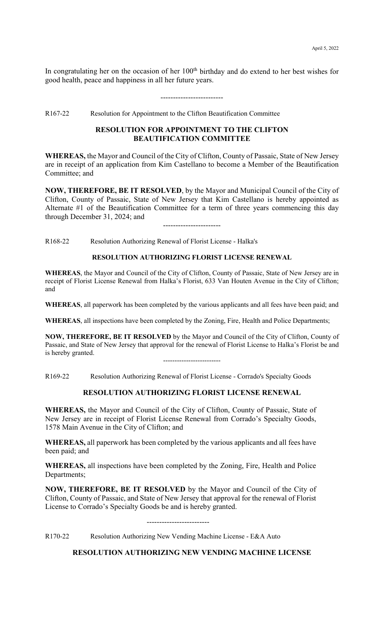In congratulating her on the occasion of her  $100<sup>th</sup>$  birthday and do extend to her best wishes for good health, peace and happiness in all her future years.

-------------------------

R167-22 Resolution for Appointment to the Clifton Beautification Committee

### **RESOLUTION FOR APPOINTMENT TO THE CLIFTON BEAUTIFICATION COMMITTEE**

**WHEREAS,** the Mayor and Council of the City of Clifton, County of Passaic, State of New Jersey are in receipt of an application from Kim Castellano to become a Member of the Beautification Committee; and

**NOW, THEREFORE, BE IT RESOLVED**, by the Mayor and Municipal Council of the City of Clifton, County of Passaic, State of New Jersey that Kim Castellano is hereby appointed as Alternate #1 of the Beautification Committee for a term of three years commencing this day through December 31, 2024; and

-----------------------

R168-22 Resolution Authorizing Renewal of Florist License - Halka's

### **RESOLUTION AUTHORIZING FLORIST LICENSE RENEWAL**

**WHEREAS**, the Mayor and Council of the City of Clifton, County of Passaic, State of New Jersey are in receipt of Florist License Renewal from Halka's Florist, 633 Van Houten Avenue in the City of Clifton; and

**WHEREAS**, all paperwork has been completed by the various applicants and all fees have been paid; and

**WHEREAS**, all inspections have been completed by the Zoning, Fire, Health and Police Departments;

**NOW, THEREFORE, BE IT RESOLVED** by the Mayor and Council of the City of Clifton, County of Passaic, and State of New Jersey that approval for the renewal of Florist License to Halka's Florist be and is hereby granted. -------------------------

R169-22 Resolution Authorizing Renewal of Florist License - Corrado's Specialty Goods

### **RESOLUTION AUTHORIZING FLORIST LICENSE RENEWAL**

**WHEREAS,** the Mayor and Council of the City of Clifton, County of Passaic, State of New Jersey are in receipt of Florist License Renewal from Corrado's Specialty Goods, 1578 Main Avenue in the City of Clifton; and

**WHEREAS,** all paperwork has been completed by the various applicants and all fees have been paid; and

**WHEREAS,** all inspections have been completed by the Zoning, Fire, Health and Police Departments;

**NOW, THEREFORE, BE IT RESOLVED** by the Mayor and Council of the City of Clifton, County of Passaic, and State of New Jersey that approval for the renewal of Florist License to Corrado's Specialty Goods be and is hereby granted.

-------------------------

R170-22 Resolution Authorizing New Vending Machine License - E&A Auto

**RESOLUTION AUTHORIZING NEW VENDING MACHINE LICENSE**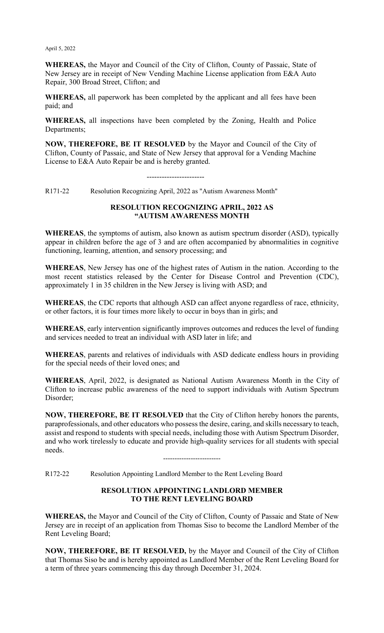**WHEREAS,** the Mayor and Council of the City of Clifton, County of Passaic, State of New Jersey are in receipt of New Vending Machine License application from E&A Auto Repair, 300 Broad Street, Clifton; and

**WHEREAS,** all paperwork has been completed by the applicant and all fees have been paid; and

**WHEREAS,** all inspections have been completed by the Zoning, Health and Police Departments;

**NOW, THEREFORE, BE IT RESOLVED** by the Mayor and Council of the City of Clifton, County of Passaic, and State of New Jersey that approval for a Vending Machine License to E&A Auto Repair be and is hereby granted.

-----------------------

R171-22 Resolution Recognizing April, 2022 as "Autism Awareness Month"

### **RESOLUTION RECOGNIZING APRIL, 2022 AS "AUTISM AWARENESS MONTH**

**WHEREAS**, the symptoms of autism, also known as autism spectrum disorder (ASD), typically appear in children before the age of 3 and are often accompanied by abnormalities in cognitive functioning, learning, attention, and sensory processing; and

**WHEREAS**, New Jersey has one of the highest rates of Autism in the nation. According to the most recent statistics released by the Center for Disease Control and Prevention (CDC), approximately 1 in 35 children in the New Jersey is living with ASD; and

**WHEREAS**, the CDC reports that although ASD can affect anyone regardless of race, ethnicity, or other factors, it is four times more likely to occur in boys than in girls; and

**WHEREAS**, early intervention significantly improves outcomes and reduces the level of funding and services needed to treat an individual with ASD later in life; and

**WHEREAS**, parents and relatives of individuals with ASD dedicate endless hours in providing for the special needs of their loved ones; and

**WHEREAS**, April, 2022, is designated as National Autism Awareness Month in the City of Clifton to increase public awareness of the need to support individuals with Autism Spectrum Disorder;

**NOW, THEREFORE, BE IT RESOLVED** that the City of Clifton hereby honors the parents, paraprofessionals, and other educators who possess the desire, caring, and skills necessary to teach, assist and respond to students with special needs, including those with Autism Spectrum Disorder, and who work tirelessly to educate and provide high-quality services for all students with special needs.

-------------------------

R172-22 Resolution Appointing Landlord Member to the Rent Leveling Board

## **RESOLUTION APPOINTING LANDLORD MEMBER TO THE RENT LEVELING BOARD**

**WHEREAS,** the Mayor and Council of the City of Clifton, County of Passaic and State of New Jersey are in receipt of an application from Thomas Siso to become the Landlord Member of the Rent Leveling Board;

**NOW, THEREFORE, BE IT RESOLVED,** by the Mayor and Council of the City of Clifton that Thomas Siso be and is hereby appointed as Landlord Member of the Rent Leveling Board for a term of three years commencing this day through December 31, 2024.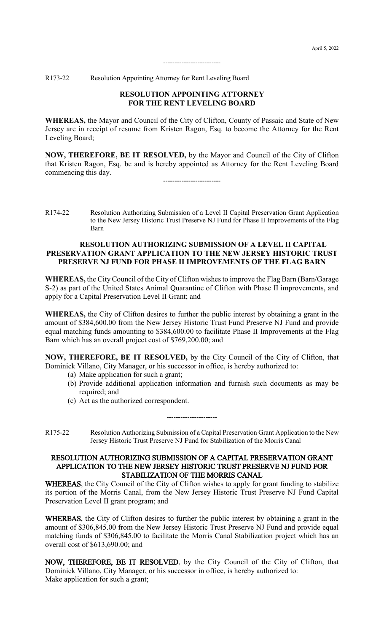R173-22 Resolution Appointing Attorney for Rent Leveling Board

### **RESOLUTION APPOINTING ATTORNEY FOR THE RENT LEVELING BOARD**

-------------------------

**WHEREAS,** the Mayor and Council of the City of Clifton, County of Passaic and State of New Jersey are in receipt of resume from Kristen Ragon, Esq. to become the Attorney for the Rent Leveling Board;

**NOW, THEREFORE, BE IT RESOLVED,** by the Mayor and Council of the City of Clifton that Kristen Ragon, Esq. be and is hereby appointed as Attorney for the Rent Leveling Board commencing this day. -------------------------

### **RESOLUTION AUTHORIZING SUBMISSION OF A LEVEL II CAPITAL PRESERVATION GRANT APPLICATION TO THE NEW JERSEY HISTORIC TRUST PRESERVE NJ FUND FOR PHASE II IMPROVEMENTS OF THE FLAG BARN**

**WHEREAS,** the City Council of the City of Clifton wishes to improve the Flag Barn (Barn/Garage S-2) as part of the United States Animal Quarantine of Clifton with Phase II improvements, and apply for a Capital Preservation Level II Grant; and

**WHEREAS,** the City of Clifton desires to further the public interest by obtaining a grant in the amount of \$384,600.00 from the New Jersey Historic Trust Fund Preserve NJ Fund and provide equal matching funds amounting to \$384,600.00 to facilitate Phase II Improvements at the Flag Barn which has an overall project cost of \$769,200.00; and

**NOW, THEREFORE, BE IT RESOLVED,** by the City Council of the City of Clifton, that Dominick Villano, City Manager, or his successor in office, is hereby authorized to:

- (a) Make application for such a grant;
- (b) Provide additional application information and furnish such documents as may be required; and
- (c) Act as the authorized correspondent.
- R175-22 Resolution Authorizing Submission of a Capital Preservation Grant Application to the New Jersey Historic Trust Preserve NJ Fund for Stabilization of the Morris Canal

----------------------

### RESOLUTION AUTHORIZING SUBMISSION OF A CAPITAL PRESERVATION GRANT APPLICATION TO THE NEW JERSEY HISTORIC TRUST PRESERVE NJ FUND FOR STABILIZATION OF THE MORRIS CANAL

WHEREAS, the City Council of the City of Clifton wishes to apply for grant funding to stabilize its portion of the Morris Canal, from the New Jersey Historic Trust Preserve NJ Fund Capital Preservation Level II grant program; and

WHEREAS, the City of Clifton desires to further the public interest by obtaining a grant in the amount of \$306,845.00 from the New Jersey Historic Trust Preserve NJ Fund and provide equal matching funds of \$306,845.00 to facilitate the Morris Canal Stabilization project which has an overall cost of \$613,690.00; and

NOW, THEREFORE, BE IT RESOLVED, by the City Council of the City of Clifton, that Dominick Villano, City Manager, or his successor in office, is hereby authorized to: Make application for such a grant;

R174-22 Resolution Authorizing Submission of a Level II Capital Preservation Grant Application to the New Jersey Historic Trust Preserve NJ Fund for Phase II Improvements of the Flag Barn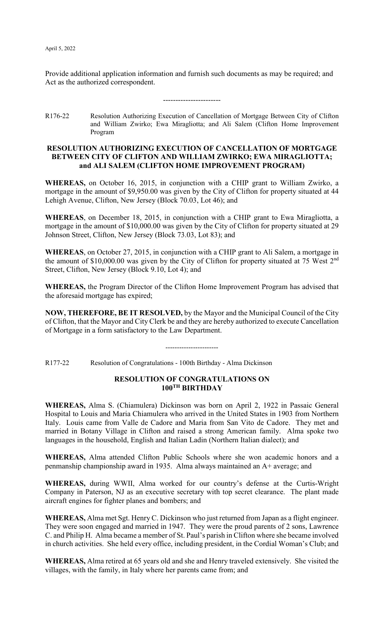Provide additional application information and furnish such documents as may be required; and Act as the authorized correspondent.

-----------------------

R176-22 Resolution Authorizing Execution of Cancellation of Mortgage Between City of Clifton and William Zwirko; Ewa Miragliotta; and Ali Salem (Clifton Home Improvement Program

## **RESOLUTION AUTHORIZING EXECUTION OF CANCELLATION OF MORTGAGE BETWEEN CITY OF CLIFTON AND WILLIAM ZWIRKO; EWA MIRAGLIOTTA; and ALI SALEM (CLIFTON HOME IMPROVEMENT PROGRAM)**

**WHEREAS,** on October 16, 2015, in conjunction with a CHIP grant to William Zwirko, a mortgage in the amount of \$9,950.00 was given by the City of Clifton for property situated at 44 Lehigh Avenue, Clifton, New Jersey (Block 70.03, Lot 46); and

**WHEREAS**, on December 18, 2015, in conjunction with a CHIP grant to Ewa Miragliotta, a mortgage in the amount of \$10,000.00 was given by the City of Clifton for property situated at 29 Johnson Street, Clifton, New Jersey (Block 73.03, Lot 83); and

**WHEREAS**, on October 27, 2015, in conjunction with a CHIP grant to Ali Salem, a mortgage in the amount of \$10,000.00 was given by the City of Clifton for property situated at 75 West 2<sup>nd</sup> Street, Clifton, New Jersey (Block 9.10, Lot 4); and

**WHEREAS,** the Program Director of the Clifton Home Improvement Program has advised that the aforesaid mortgage has expired;

**NOW, THEREFORE, BE IT RESOLVED,** by the Mayor and the Municipal Council of the City of Clifton, that the Mayor and City Clerk be and they are hereby authorized to execute Cancellation of Mortgage in a form satisfactory to the Law Department.

-----------------------

R177-22 Resolution of Congratulations - 100th Birthday - Alma Dickinson

### **RESOLUTION OF CONGRATULATIONS ON 100TH BIRTHDAY**

**WHEREAS,** Alma S. (Chiamulera) Dickinson was born on April 2, 1922 in Passaic General Hospital to Louis and Maria Chiamulera who arrived in the United States in 1903 from Northern Italy. Louis came from Valle de Cadore and Maria from San Vito de Cadore. They met and married in Botany Village in Clifton and raised a strong American family. Alma spoke two languages in the household, English and Italian Ladin (Northern Italian dialect); and

**WHEREAS,** Alma attended Clifton Public Schools where she won academic honors and a penmanship championship award in 1935. Alma always maintained an A+ average; and

**WHEREAS,** during WWII, Alma worked for our country's defense at the Curtis-Wright Company in Paterson, NJ as an executive secretary with top secret clearance. The plant made aircraft engines for fighter planes and bombers; and

**WHEREAS,** Alma met Sgt. Henry C. Dickinson who just returned from Japan as a flight engineer. They were soon engaged and married in 1947. They were the proud parents of 2 sons, Lawrence C. and Philip H. Alma became a member of St. Paul's parish in Clifton where she became involved in church activities. She held every office, including president, in the Cordial Woman's Club; and

**WHEREAS,** Alma retired at 65 years old and she and Henry traveled extensively. She visited the villages, with the family, in Italy where her parents came from; and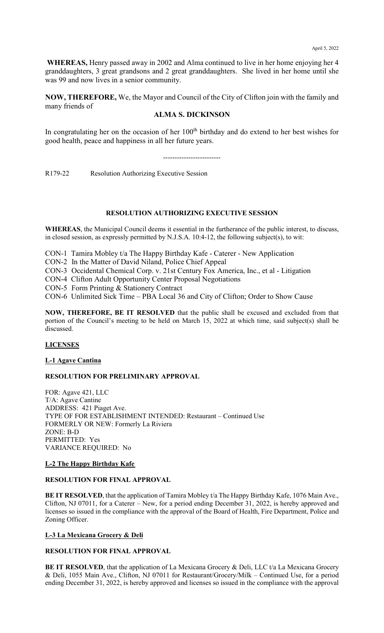**WHEREAS,** Henry passed away in 2002 and Alma continued to live in her home enjoying her 4 granddaughters, 3 great grandsons and 2 great granddaughters. She lived in her home until she was 99 and now lives in a senior community.

**NOW, THEREFORE,** We, the Mayor and Council of the City of Clifton join with the family and many friends of

### **ALMA S. DICKINSON**

In congratulating her on the occasion of her  $100<sup>th</sup>$  birthday and do extend to her best wishes for good health, peace and happiness in all her future years.

-------------------------

R179-22 Resolution Authorizing Executive Session

### **RESOLUTION AUTHORIZING EXECUTIVE SESSION**

**WHEREAS**, the Municipal Council deems it essential in the furtherance of the public interest, to discuss, in closed session, as expressly permitted by N.J.S.A. 10:4-12, the following subject(s), to wit:

CON-1 Tamira Mobley t/a The Happy Birthday Kafe - Caterer - New Application

CON-2 In the Matter of David Niland, Police Chief Appeal

CON-3 Occidental Chemical Corp. v. 21st Century Fox America, Inc., et al - Litigation

CON-4 Clifton Adult Opportunity Center Proposal Negotiations

CON-5 Form Printing & Stationery Contract

CON-6 Unlimited Sick Time – PBA Local 36 and City of Clifton; Order to Show Cause

**NOW, THEREFORE, BE IT RESOLVED** that the public shall be excused and excluded from that portion of the Council's meeting to be held on March 15, 2022 at which time, said subject(s) shall be discussed.

### **LICENSES**

### **L-1 Agave Cantina**

### **RESOLUTION FOR PRELIMINARY APPROVAL**

FOR: Agave 421, LLC T/A: Agave Cantine ADDRESS: 421 Piaget Ave. TYPE OF FOR ESTABLISHMENT INTENDED: Restaurant – Continued Use FORMERLY OR NEW: Formerly La Riviera ZONE: B-D PERMITTED: Yes VARIANCE REQUIRED: No

### **L-2 The Happy Birthday Kafe**

### **RESOLUTION FOR FINAL APPROVAL**

**BE IT RESOLVED**, that the application of Tamira Mobley t/a The Happy Birthday Kafe, 1076 Main Ave., Clifton, NJ 07011, for a Caterer – New, for a period ending December 31, 2022, is hereby approved and licenses so issued in the compliance with the approval of the Board of Health, Fire Department, Police and Zoning Officer.

### **L-3 La Mexicana Grocery & Deli**

### **RESOLUTION FOR FINAL APPROVAL**

**BE IT RESOLVED**, that the application of La Mexicana Grocery & Deli, LLC t/a La Mexicana Grocery & Deli, 1055 Main Ave., Clifton, NJ 07011 for Restaurant/Grocery/Milk – Continued Use, for a period ending December 31, 2022, is hereby approved and licenses so issued in the compliance with the approval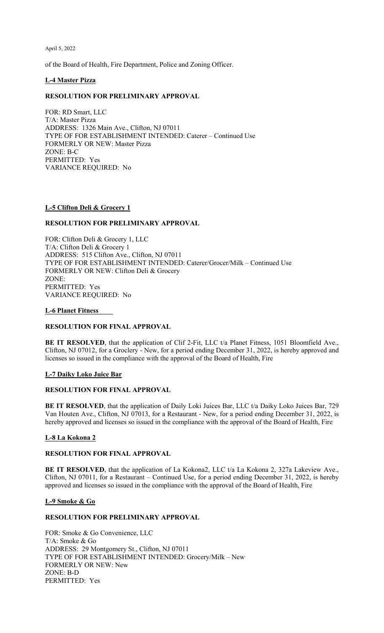of the Board of Health, Fire Department, Police and Zoning Officer.

#### **L-4 Master Pizza**

### **RESOLUTION FOR PRELIMINARY APPROVAL**

FOR: RD Smart, LLC T/A: Master Pizza ADDRESS: 1326 Main Ave., Clifton, NJ 07011 TYPE OF FOR ESTABLISHMENT INTENDED: Caterer – Continued Use FORMERLY OR NEW: Master Pizza ZONE: B-C PERMITTED: Yes VARIANCE REQUIRED: No

#### **L-5 Clifton Deli & Grocery 1**

#### **RESOLUTION FOR PRELIMINARY APPROVAL**

FOR: Clifton Deli & Grocery 1, LLC T/A: Clifton Deli & Grocery 1 ADDRESS: 515 Clifton Ave., Clifton, NJ 07011 TYPE OF FOR ESTABLISHMENT INTENDED: Caterer/Grocer/Milk – Continued Use FORMERLY OR NEW: Clifton Deli & Grocery ZONE: PERMITTED: Yes VARIANCE REQUIRED: No

#### **L-6 Planet Fitness**

### **RESOLUTION FOR FINAL APPROVAL**

BE IT RESOLVED, that the application of Clif 2-Fit, LLC t/a Planet Fitness, 1051 Bloomfield Ave., Clifton, NJ 07012, for a Groclery - New, for a period ending December 31, 2022, is hereby approved and licenses so issued in the compliance with the approval of the Board of Health, Fire

#### **L-7 Daiky Loko Juice Bar**

#### **RESOLUTION FOR FINAL APPROVAL**

**BE IT RESOLVED**, that the application of Daily Loki Juices Bar, LLC t/a Daiky Loko Juices Bar, 729 Van Houten Ave., Clifton, NJ 07013, for a Restaurant - New, for a period ending December 31, 2022, is hereby approved and licenses so issued in the compliance with the approval of the Board of Health, Fire

### **L-8 La Kokona 2**

#### **RESOLUTION FOR FINAL APPROVAL**

**BE IT RESOLVED**, that the application of La Kokona2, LLC t/a La Kokona 2, 327a Lakeview Ave., Clifton, NJ 07011, for a Restaurant – Continued Use, for a period ending December 31, 2022, is hereby approved and licenses so issued in the compliance with the approval of the Board of Health, Fire

#### **L-9 Smoke & Go**

#### **RESOLUTION FOR PRELIMINARY APPROVAL**

FOR: Smoke & Go Convenience, LLC T/A: Smoke & Go ADDRESS: 29 Montgomery St., Clifton, NJ 07011 TYPE OF FOR ESTABLISHMENT INTENDED: Grocery/Milk – New FORMERLY OR NEW: New ZONE: B-D PERMITTED: Yes